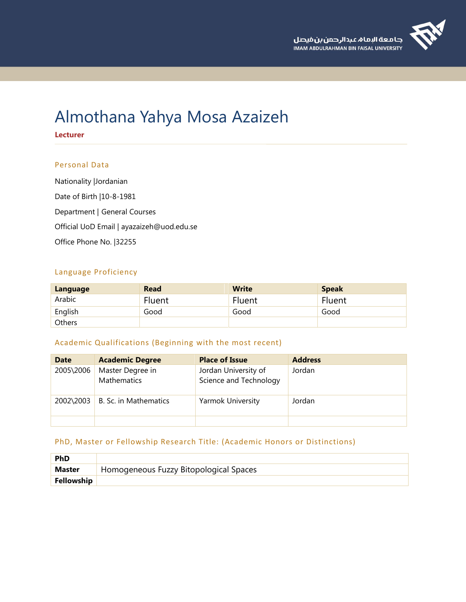# Almothana Yahya Mosa Azaizeh

**Lecturer**

# Personal Data

Nationality |Jordanian Date of Birth |10-8-1981 Department | General Courses Official UoD Email | ayazaizeh@uod.edu.se Office Phone No. |32255

# Language Proficiency

| Language | <b>Read</b> | <b>Write</b> | <b>Speak</b> |
|----------|-------------|--------------|--------------|
| Arabic   | Fluent      | Fluent       | Fluent       |
| English  | Good        | Good         | Good         |
| Others   |             |              |              |

# Academic Qualifications (Beginning with the most recent)

| <b>Date</b> | <b>Academic Degree</b>          | <b>Place of Issue</b>                          | <b>Address</b> |
|-------------|---------------------------------|------------------------------------------------|----------------|
| 2005\2006   | Master Degree in<br>Mathematics | Jordan University of<br>Science and Technology | Jordan         |
| 2002\2003   | B. Sc. in Mathematics           | Yarmok University                              | Jordan         |
|             |                                 |                                                |                |

# PhD, Master or Fellowship Research Title: (Academic Honors or Distinctions)

| <b>PhD</b>    |                                        |
|---------------|----------------------------------------|
| <b>Master</b> | Homogeneous Fuzzy Bitopological Spaces |
| Fellowship    |                                        |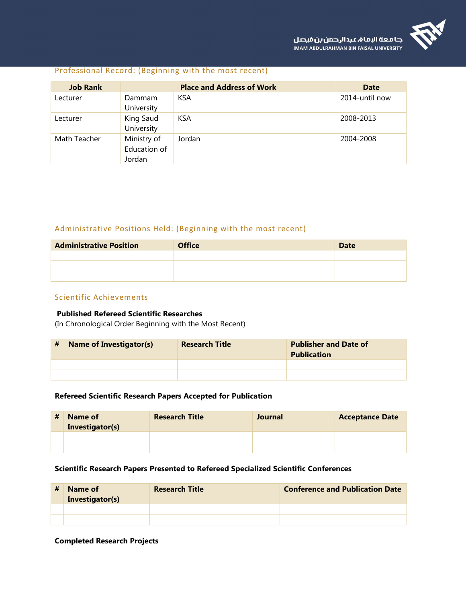

#### Professional Record: (Beginning with the most recent)

| <b>Job Rank</b> | <b>Place and Address of Work</b>      |            | Date |                |
|-----------------|---------------------------------------|------------|------|----------------|
| Lecturer        | Dammam<br>University                  | <b>KSA</b> |      | 2014-until now |
| Lecturer        | King Saud<br>University               | <b>KSA</b> |      | 2008-2013      |
| Math Teacher    | Ministry of<br>Education of<br>Jordan | Jordan     |      | 2004-2008      |

# Administrative Positions Held: (Beginning with the most recent)

| <b>Administrative Position</b> | <b>Office</b> | <b>Date</b> |
|--------------------------------|---------------|-------------|
|                                |               |             |
|                                |               |             |
|                                |               |             |

# Scientific Achievements

# **Published Refereed Scientific Researches**

(In Chronological Order Beginning with the Most Recent)

| # | <b>Name of Investigator(s)</b> | <b>Research Title</b> | <b>Publisher and Date of</b><br><b>Publication</b> |
|---|--------------------------------|-----------------------|----------------------------------------------------|
|   |                                |                       |                                                    |
|   |                                |                       |                                                    |

#### **Refereed Scientific Research Papers Accepted for Publication**

| # | Name of<br>Investigator(s) | <b>Research Title</b> | <b>Journal</b> | <b>Acceptance Date</b> |
|---|----------------------------|-----------------------|----------------|------------------------|
|   |                            |                       |                |                        |
|   |                            |                       |                |                        |

#### **Scientific Research Papers Presented to Refereed Specialized Scientific Conferences**

| Name of<br>Investigator(s) | <b>Research Title</b> | <b>Conference and Publication Date</b> |
|----------------------------|-----------------------|----------------------------------------|
|                            |                       |                                        |
|                            |                       |                                        |

#### **Completed Research Projects**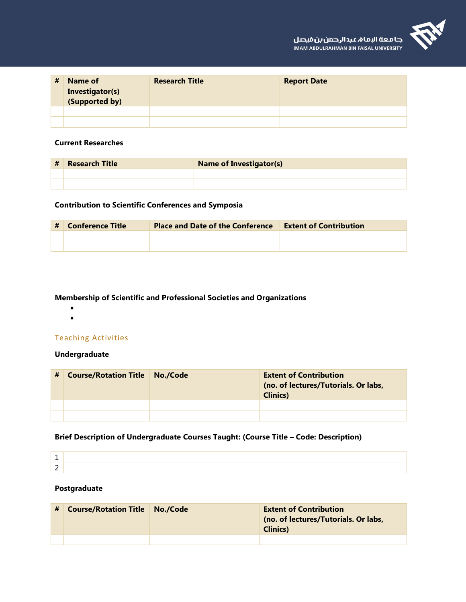

| # | Name of<br>Investigator(s)<br>(Supported by) | <b>Research Title</b> | <b>Report Date</b> |
|---|----------------------------------------------|-----------------------|--------------------|
|   |                                              |                       |                    |
|   |                                              |                       |                    |

# **Current Researches**

| # | Research Title | <b>Name of Investigator(s)</b> |
|---|----------------|--------------------------------|
|   |                |                                |
|   |                |                                |

# **Contribution to Scientific Conferences and Symposia**

| # | Conference Title | <b>Place and Date of the Conference</b> | <b>Extent of Contribution</b> |
|---|------------------|-----------------------------------------|-------------------------------|
|   |                  |                                         |                               |
|   |                  |                                         |                               |

# **Membership of Scientific and Professional Societies and Organizations**

- 
- 

# Teaching Activities

# **Undergraduate**

| # | <b>Course/Rotation Title   No./Code</b> | <b>Extent of Contribution</b><br>(no. of lectures/Tutorials. Or labs,<br><b>Clinics</b> ) |
|---|-----------------------------------------|-------------------------------------------------------------------------------------------|
|   |                                         |                                                                                           |
|   |                                         |                                                                                           |

# **Brief Description of Undergraduate Courses Taught: (Course Title – Code: Description)**

#### **Postgraduate**

| <b>Course/Rotation Title   No./Code</b> | <b>Extent of Contribution</b><br>(no. of lectures/Tutorials. Or labs,<br><b>Clinics</b> ) |
|-----------------------------------------|-------------------------------------------------------------------------------------------|
|                                         |                                                                                           |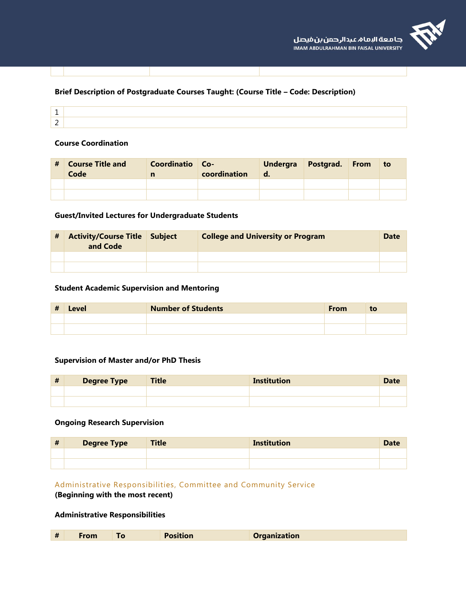# **Brief Description of Postgraduate Courses Taught: (Course Title – Code: Description)**

#### **Course Coordination**

| # | <b>Course Title and</b><br>Code | Coordinatio Co- | coordination | <b>Undergra</b><br>o. | Postgrad. | From | to |
|---|---------------------------------|-----------------|--------------|-----------------------|-----------|------|----|
|   |                                 |                 |              |                       |           |      |    |
|   |                                 |                 |              |                       |           |      |    |

#### **Guest/Invited Lectures for Undergraduate Students**

| # | <b>Activity/Course Title Subject</b><br>and Code | <b>College and University or Program</b> | <b>Date</b> |
|---|--------------------------------------------------|------------------------------------------|-------------|
|   |                                                  |                                          |             |
|   |                                                  |                                          |             |

# **Student Academic Supervision and Mentoring**

| # | Level | <b>Number of Students</b> | <b>From</b> | to |
|---|-------|---------------------------|-------------|----|
|   |       |                           |             |    |
|   |       |                           |             |    |

# **Supervision of Master and/or PhD Thesis**

| $\mathbf{u}$<br><br>T | Degree Type | <b>Title</b> | <b>Institution</b> | <b>Date</b> |
|-----------------------|-------------|--------------|--------------------|-------------|
|                       |             |              |                    |             |
|                       |             |              |                    |             |

#### **Ongoing Research Supervision**

| $\mathbf{\mathbf{\#}}$<br>Ħ | <b>Degree Type</b> | <b>Title</b> | <b>Institution</b> | <b>Date</b> |
|-----------------------------|--------------------|--------------|--------------------|-------------|
|                             |                    |              |                    |             |
|                             |                    |              |                    |             |

# Administrative Responsibilities, Committee and Community Service

#### **(Beginning with the most recent)**

#### **Administrative Responsibilities**

| #<br><b>Organization</b><br><b>Position</b><br>From |  |
|-----------------------------------------------------|--|
|-----------------------------------------------------|--|